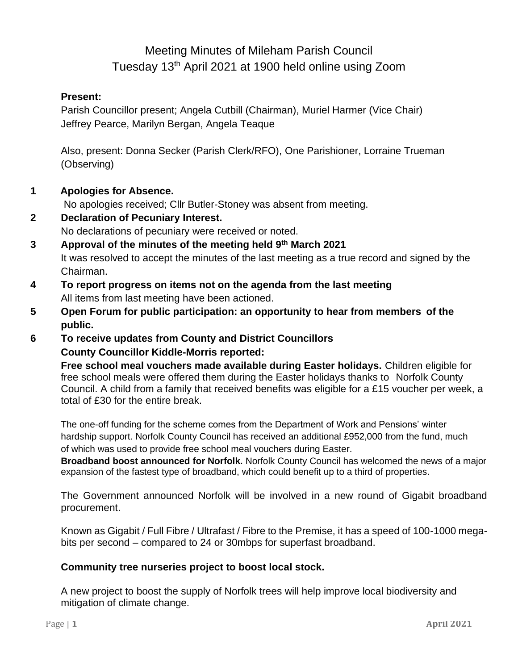## Meeting Minutes of Mileham Parish Council Tuesday 13<sup>th</sup> April 2021 at 1900 held online using Zoom

#### **Present:**

Parish Councillor present; Angela Cutbill (Chairman), Muriel Harmer (Vice Chair) Jeffrey Pearce, Marilyn Bergan, Angela Teaque

Also, present: Donna Secker (Parish Clerk/RFO), One Parishioner, Lorraine Trueman (Observing)

**1 Apologies for Absence.**

No apologies received; Cllr Butler-Stoney was absent from meeting.

- **2 Declaration of Pecuniary Interest.** No declarations of pecuniary were received or noted.
- **3 Approval of the minutes of the meeting held 9th March 2021** It was resolved to accept the minutes of the last meeting as a true record and signed by the Chairman.
- **4 To report progress on items not on the agenda from the last meeting** All items from last meeting have been actioned.
- **5 Open Forum for public participation: an opportunity to hear from members of the public.**
- **6 To receive updates from County and District Councillors County Councillor Kiddle-Morris reported:**

**Free school meal vouchers made available during Easter holidays.** Children eligible for free school meals were offered them during the Easter holidays thanks to Norfolk County Council. A child from a family that received benefits was eligible for a £15 voucher per week, a total of £30 for the entire break.

The one-off funding for the scheme comes from the Department of Work and Pensions' winter hardship support. Norfolk County Council has received an additional £952,000 from the fund, much of which was used to provide free school meal vouchers during Easter.

**Broadband boost announced for Norfolk.** Norfolk County Council has welcomed the news of a major expansion of the fastest type of broadband, which could benefit up to a third of properties.

The Government announced Norfolk will be involved in a new round of Gigabit broadband procurement.

Known as Gigabit / Full Fibre / Ultrafast / Fibre to the Premise, it has a speed of 100-1000 megabits per second – compared to 24 or 30mbps for superfast broadband.

#### **Community tree nurseries project to boost local stock.**

A new project to boost the supply of Norfolk trees will help improve local biodiversity and mitigation of climate change.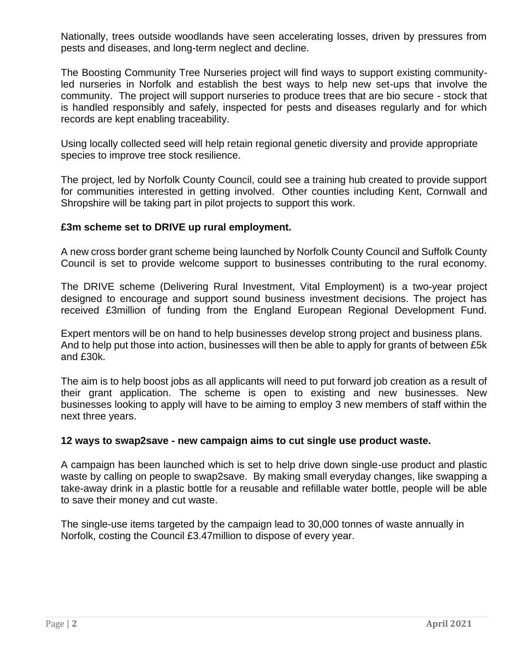Nationally, trees outside woodlands have seen accelerating losses, driven by pressures from pests and diseases, and long-term neglect and decline.

The Boosting Community Tree Nurseries project will find ways to support existing communityled nurseries in Norfolk and establish the best ways to help new set-ups that involve the community. The project will support nurseries to produce trees that are bio secure - stock that is handled responsibly and safely, inspected for pests and diseases regularly and for which records are kept enabling traceability.

Using locally collected seed will help retain regional genetic diversity and provide appropriate species to improve tree stock resilience.

The project, led by Norfolk County Council, could see a training hub created to provide support for communities interested in getting involved. Other counties including Kent, Cornwall and Shropshire will be taking part in pilot projects to support this work.

#### **£3m scheme set to DRIVE up rural employment.**

A new cross border grant scheme being launched by Norfolk County Council and Suffolk County Council is set to provide welcome support to businesses contributing to the rural economy.

The DRIVE scheme (Delivering Rural Investment, Vital Employment) is a two-year project designed to encourage and support sound business investment decisions. The project has received £3million of funding from the England European Regional Development Fund.

Expert mentors will be on hand to help businesses develop strong project and business plans. And to help put those into action, businesses will then be able to apply for grants of between £5k and £30k.

The aim is to help boost jobs as all applicants will need to put forward job creation as a result of their grant application. The scheme is open to existing and new businesses. New businesses looking to apply will have to be aiming to employ 3 new members of staff within the next three years.

#### **12 ways to swap2save - new campaign aims to cut single use product waste.**

A campaign has been launched which is set to help drive down single-use product and plastic waste by calling on people to swap2save. By making small everyday changes, like swapping a take-away drink in a plastic bottle for a reusable and refillable water bottle, people will be able to save their money and cut waste.

The single-use items targeted by the campaign lead to 30,000 tonnes of waste annually in Norfolk, costing the Council £3.47million to dispose of every year.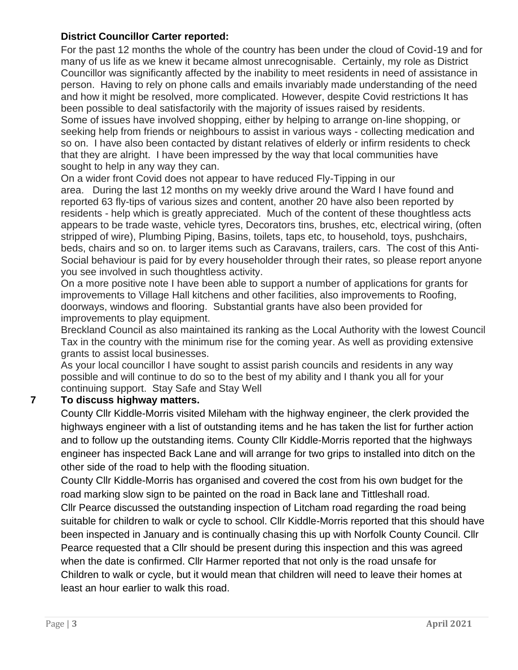#### **District Councillor Carter reported:**

For the past 12 months the whole of the country has been under the cloud of Covid-19 and for many of us life as we knew it became almost unrecognisable. Certainly, my role as District Councillor was significantly affected by the inability to meet residents in need of assistance in person. Having to rely on phone calls and emails invariably made understanding of the need and how it might be resolved, more complicated. However, despite Covid restrictions It has been possible to deal satisfactorily with the majority of issues raised by residents. Some of issues have involved shopping, either by helping to arrange on-line shopping, or seeking help from friends or neighbours to assist in various ways - collecting medication and so on. I have also been contacted by distant relatives of elderly or infirm residents to check that they are alright. I have been impressed by the way that local communities have sought to help in any way they can.

On a wider front Covid does not appear to have reduced Fly-Tipping in our area. During the last 12 months on my weekly drive around the Ward I have found and reported 63 fly-tips of various sizes and content, another 20 have also been reported by residents - help which is greatly appreciated. Much of the content of these thoughtless acts appears to be trade waste, vehicle tyres, Decorators tins, brushes, etc, electrical wiring, (often stripped of wire), Plumbing Piping, Basins, toilets, taps etc, to household, toys, pushchairs, beds, chairs and so on. to larger items such as Caravans, trailers, cars. The cost of this Anti-Social behaviour is paid for by every householder through their rates, so please report anyone you see involved in such thoughtless activity.

On a more positive note I have been able to support a number of applications for grants for improvements to Village Hall kitchens and other facilities, also improvements to Roofing, doorways, windows and flooring. Substantial grants have also been provided for improvements to play equipment.

Breckland Council as also maintained its ranking as the Local Authority with the lowest Council Tax in the country with the minimum rise for the coming year. As well as providing extensive grants to assist local businesses.

As your local councillor I have sought to assist parish councils and residents in any way possible and will continue to do so to the best of my ability and I thank you all for your continuing support. Stay Safe and Stay Well

## **7 To discuss highway matters.**

County Cllr Kiddle-Morris visited Mileham with the highway engineer, the clerk provided the highways engineer with a list of outstanding items and he has taken the list for further action and to follow up the outstanding items. County Cllr Kiddle-Morris reported that the highways engineer has inspected Back Lane and will arrange for two grips to installed into ditch on the other side of the road to help with the flooding situation.

County Cllr Kiddle-Morris has organised and covered the cost from his own budget for the road marking slow sign to be painted on the road in Back lane and Tittleshall road.

Cllr Pearce discussed the outstanding inspection of Litcham road regarding the road being suitable for children to walk or cycle to school. Cllr Kiddle-Morris reported that this should have been inspected in January and is continually chasing this up with Norfolk County Council. Cllr Pearce requested that a Cllr should be present during this inspection and this was agreed when the date is confirmed. Cllr Harmer reported that not only is the road unsafe for Children to walk or cycle, but it would mean that children will need to leave their homes at least an hour earlier to walk this road.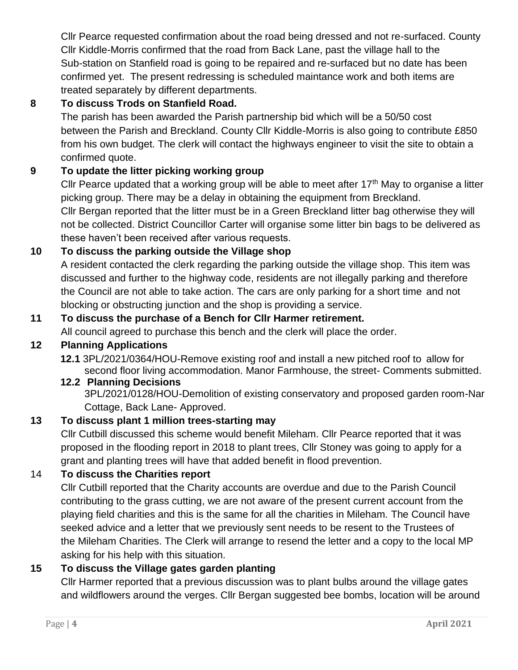Cllr Pearce requested confirmation about the road being dressed and not re-surfaced. County Cllr Kiddle-Morris confirmed that the road from Back Lane, past the village hall to the Sub-station on Stanfield road is going to be repaired and re-surfaced but no date has been confirmed yet. The present redressing is scheduled maintance work and both items are treated separately by different departments.

## **8 To discuss Trods on Stanfield Road.**

The parish has been awarded the Parish partnership bid which will be a 50/50 cost between the Parish and Breckland. County Cllr Kiddle-Morris is also going to contribute £850 from his own budget. The clerk will contact the highways engineer to visit the site to obtain a confirmed quote.

## **9 To update the litter picking working group**

Cllr Pearce updated that a working group will be able to meet after  $17<sup>th</sup>$  May to organise a litter picking group. There may be a delay in obtaining the equipment from Breckland. Cllr Bergan reported that the litter must be in a Green Breckland litter bag otherwise they will not be collected. District Councillor Carter will organise some litter bin bags to be delivered as these haven't been received after various requests.

## **10 To discuss the parking outside the Village shop**

A resident contacted the clerk regarding the parking outside the village shop. This item was discussed and further to the highway code, residents are not illegally parking and therefore the Council are not able to take action. The cars are only parking for a short time and not blocking or obstructing junction and the shop is providing a service.

## **11 To discuss the purchase of a Bench for Cllr Harmer retirement.**

All council agreed to purchase this bench and the clerk will place the order.

## **12 Planning Applications**

**12.1** 3PL/2021/0364/HOU-Remove existing roof and install a new pitched roof to allow for second floor living accommodation. Manor Farmhouse, the street- Comments submitted.

#### **12.2 Planning Decisions**

3PL/2021/0128/HOU-Demolition of existing conservatory and proposed garden room-Nar Cottage, Back Lane- Approved.

## **13 To discuss plant 1 million trees-starting may**

Cllr Cutbill discussed this scheme would benefit Mileham. Cllr Pearce reported that it was proposed in the flooding report in 2018 to plant trees, Cllr Stoney was going to apply for a grant and planting trees will have that added benefit in flood prevention.

## 14 **To discuss the Charities report**

Cllr Cutbill reported that the Charity accounts are overdue and due to the Parish Council contributing to the grass cutting, we are not aware of the present current account from the playing field charities and this is the same for all the charities in Mileham. The Council have seeked advice and a letter that we previously sent needs to be resent to the Trustees of the Mileham Charities. The Clerk will arrange to resend the letter and a copy to the local MP asking for his help with this situation.

## **15 To discuss the Village gates garden planting**

Cllr Harmer reported that a previous discussion was to plant bulbs around the village gates and wildflowers around the verges. Cllr Bergan suggested bee bombs, location will be around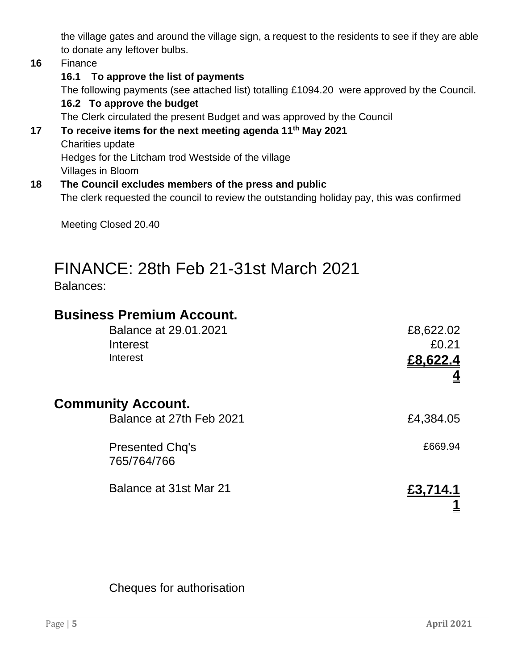the village gates and around the village sign, a request to the residents to see if they are able to donate any leftover bulbs.

#### **16** Finance

#### **16.1 To approve the list of payments**

The following payments (see attached list) totalling £1094.20 were approved by the Council.

#### **16.2 To approve the budget**

The Clerk circulated the present Budget and was approved by the Council

#### **17 To receive items for the next meeting agenda 11th May 2021** Charities update

Hedges for the Litcham trod Westside of the village

Villages in Bloom

#### **18 The Council excludes members of the press and public**

The clerk requested the council to review the outstanding holiday pay, this was confirmed

Meeting Closed 20.40

# FINANCE: 28th Feb 21-31st March 2021

Balances:

## **Business Premium Account.**

|                           | Balance at 29.01.2021<br>Interest<br>Interest | £8,622.02<br>£0.21<br>£8,622.4 |
|---------------------------|-----------------------------------------------|--------------------------------|
| <b>Community Account.</b> | Balance at 27th Feb 2021                      | £4,384.05                      |
|                           | <b>Presented Chq's</b><br>765/764/766         | £669.94                        |
|                           | Balance at 31st Mar 21                        | £3,714.1                       |

## Cheques for authorisation